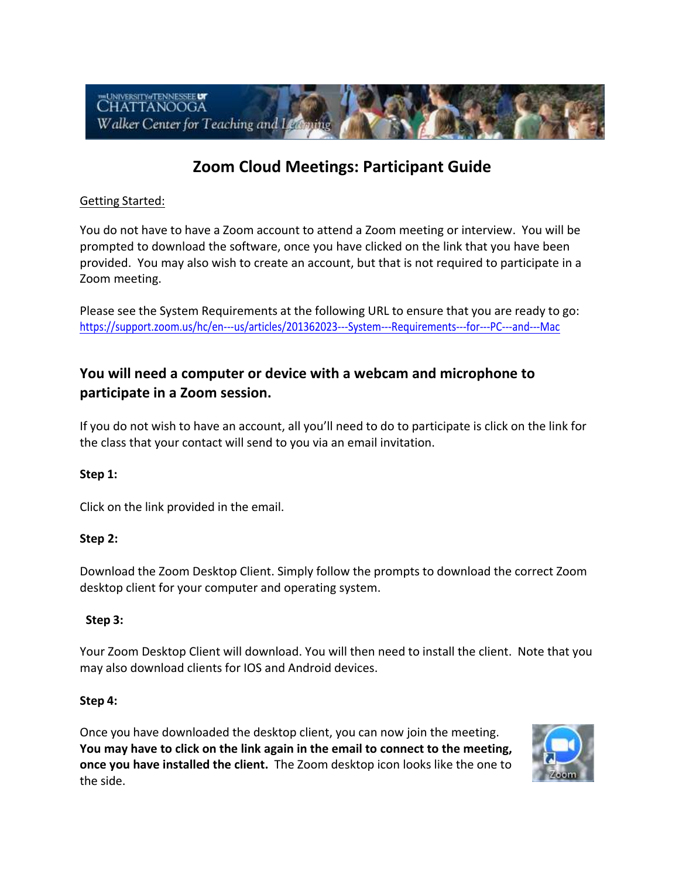

# **Zoom Cloud Meetings: Participant Guide**

## Getting Started:

 You do not have to have a Zoom account to attend a Zoom meeting or interview. You will be provided. You may also wish to create an account, but that is not required to participate in a prompted to download the software, once you have clicked on the link that you have been Zoom meeting.

 Please see the System Requirements at the following URL to ensure that you are ready to go: [https://support.zoom.us/hc/en-](https://support.zoom.us/hc/en-us/articles/201362023---System---Requirements---for---PC---and---Mac)--us/articles/201362023---System---Requirements---for---PC---and---Mac

## **participate in a Zoom session. You will need a computer or device with a webcam and microphone to**

 If you do not wish to have an account, all you'll need to do to participate is click on the link for the class that your contact will send to you via an email invitation.

#### **Step 1:**

Click on the link provided in the email.

## **Step 2:**

 Download the Zoom Desktop Client. Simply follow the prompts to download the correct Zoom desktop client for your computer and operating system.

#### **Step 3:**

 Your Zoom Desktop Client will download. You will then need to install the client. Note that you may also download clients for IOS and Android devices.

#### **Step 4:**

 Once you have downloaded the desktop client, you can now join the meeting. **once you have installed the client.** The Zoom desktop icon looks like the one to **You may have to click on the link again in the email to connect to the meeting,**  the side.